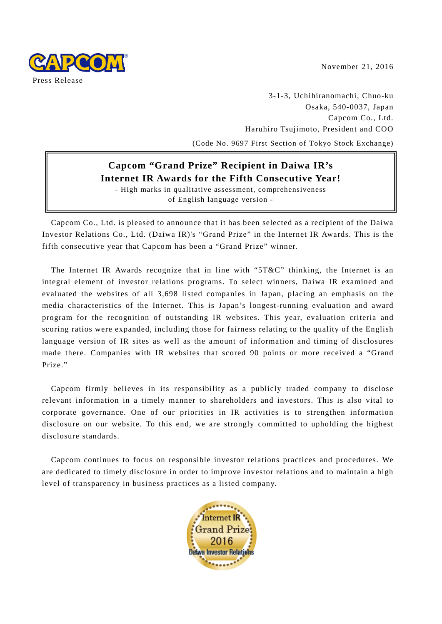November 21, 2016



3-1-3, Uchihiranomachi, Chuo-ku Osaka, 540-0037, Japan Capcom Co., Ltd. Haruhiro Tsujimoto, President and COO (Code No. 9697 First Section of Tokyo Stock Exchange)

# **Capcom "Grand Prize" Recipient in Daiwa IR's Internet IR Awards for the Fifth Consecutive Year!**

- High marks in qualitative assessment, comprehensiveness of English language version -

Capcom Co., Ltd. is pleased to announce that it has been selected as a recipient of the Daiwa Investor Relations Co., Ltd. (Daiwa IR)'s "Grand Prize" in the Internet IR Awards. This is the fifth consecutive year that Capcom has been a "Grand Prize" winner.

The Internet IR Awards recognize that in line with "5T&C" thinking, the Internet is an integral element of investor relations programs. To select winners, Daiwa IR examined and evaluated the websites of all 3,698 listed companies in Japan, placing an emphasis on the media characteristics of the Internet. This is Japan's longest-running evaluation and award program for the recognition of outstanding IR websites. This year, evaluation criteria and scoring ratios were expanded, including those for fairness relating to the quality of the English language version of IR sites as well as the amount of information and timing of disclosures made there. Companies with IR websites that scored 90 points or more received a "Grand Prize."

Capcom firmly believes in its responsibility as a publicly traded company to disclose relevant information in a timely manner to shareholders and investors. This is also vital to corporate governance. One of our priorities in IR activities is to strengthen information disclosure on our website. To this end, we are strongly committed to upholding the highest disclosure standards.

Capcom continues to focus on responsible investor relations practices and procedures. We are dedicated to timely disclosure in order to improve investor relations and to maintain a high level of transparency in business practices as a listed company.